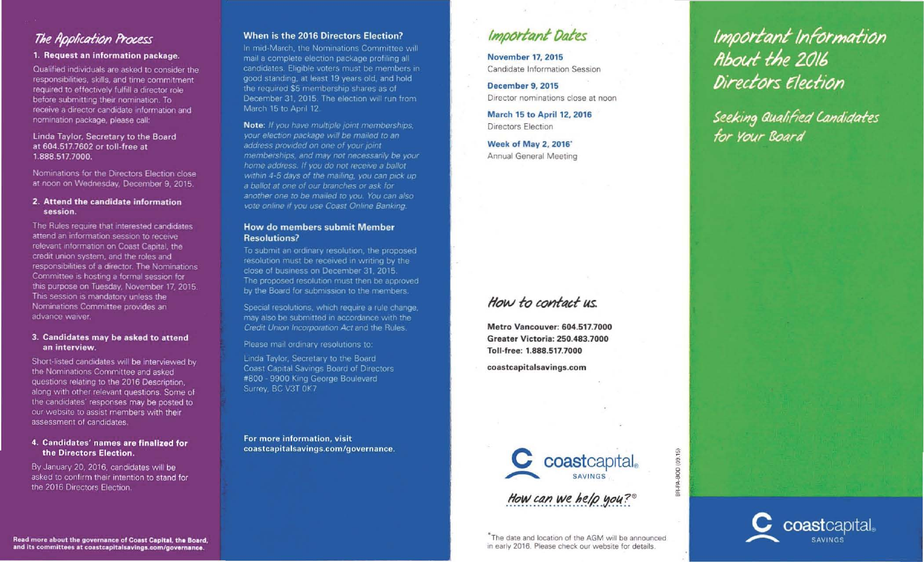# **The Application Process**

## 1. Request an information package.

Qualified individuals are asked to consider Ihe responsibilities, skills, and time commitment. required to effectively fulfill a director role before submitting their nomination. To receive a director candidate information and nomination package, please call-

#### Linda Taylor, Secretary to the Board at 604.517.7602 or toll-free at 1.888.517.7000.

Nominations for the Directors Election close at noon on Wednesday. December 9. 2015,

#### 2. Attend the candidate information session.

The Rules require that interested candidates attend an information session to receive relevant information on Coast Capital, the credit Union system, and the roles and responsibilities of a director. The Nominations Committee is hosting a formal session for this purpose on Tuesday. November 17. 2015 This session is mandatory unless the Nominations Committee provides an advance waiver.

#### 3. Candidates may be asked to attend an interview.

Short-listed candidates will be interviewed by the NOminations Committee and asked questions relating to the 2016 Description. along with other relevant questions. Some of the candidates' responses may be posted to our website to assist members with their assessment of candidates.

### 4. Candidates' names are finalized for the Directors Election.

By January 20.2016. candidates will be asked to confirm their intention to stand for the 2016 Directors Election.

# When is the 2016 Directors Election?

In mid-March, the Nominations Committee will mail a complete election package profiling all candidates. Eligible voters must be members in good standing, at least 19 years old, and hold the required \$5 membership shares as of December 31, 2015. The election will run from March 15 to April 12.

Note: If you have multiple joint memberships, your election package will be mailed to an address provided on one of your joint memberships, and may not necessarily be your home address. If you do not receive a ballot within 4-5 days of the mailing, you can pick up a bailor af one of ow branches or ask for another one to be mailed to you. You can also vote online if you use Coast Online Banking.

### How do members submit Member Resolutions?

To submit an ordinary resolution, the proposed resolution must be received in writing by the close of business on December 31, 2015. The proposed resolution must then be approved by the Board for submission to the members.

Special resolutions, which require a rule change. may also be submitted in accordance with the Credit Union Incorporation Act and the Rules.

Please mail ordinary resolutions to:

Linda Taylor, Secretary to the Board Coast Capital Savings Board 01 Directors #800 - 9900 King George Boulevard Surrey, BC V3T 0K7

For more information, visit coastcapitalsavings.com/governance.

# Important Dates

November 17, 2015 Candidate Information Session

December 9, 2015 Director nominations close at noon

March 15 to April 12,2016 Directors Election

Week of May 2, 2016' Annual General Meeting

# How to contact us

Metro Vancouver: 604.517.7000 Greater Victoria: 250.483.7000 Toll-free: 1.888.517.7000

coastcapitalsavings.com



How can we help you?

BOD (09.15)

뚦

<sup>\*</sup>The date and location of the AGM will be announced in early 2016. Please check our website for details.

Important Information<br>About the 2016 Directors Election

Seeking Qualified Candidates<br>for Your Board